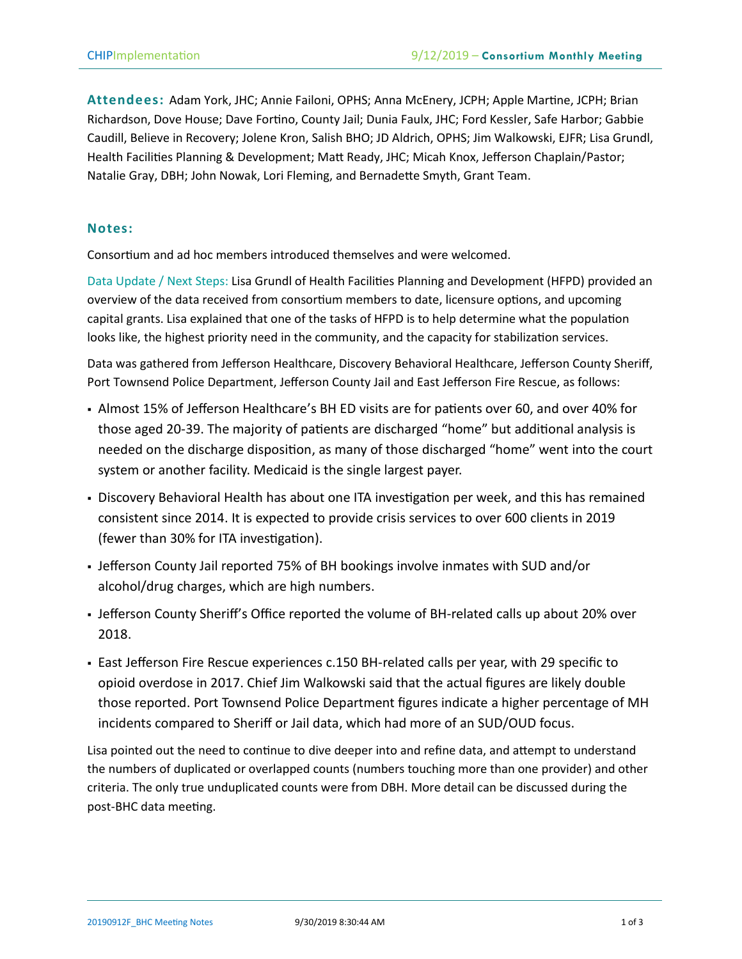**Attendees:** Adam York, JHC; Annie Failoni, OPHS; Anna McEnery, JCPH; Apple Martine, JCPH; Brian Richardson, Dove House; Dave Fortino, County Jail; Dunia Faulx, JHC; Ford Kessler, Safe Harbor; Gabbie Caudill, Believe in Recovery; Jolene Kron, Salish BHO; JD Aldrich, OPHS; Jim Walkowski, EJFR; Lisa Grundl, Health Facilities Planning & Development; Matt Ready, JHC; Micah Knox, Jefferson Chaplain/Pastor; Natalie Gray, DBH; John Nowak, Lori Fleming, and Bernadette Smyth, Grant Team.

## **Notes:**

Consortium and ad hoc members introduced themselves and were welcomed.

Data Update / Next Steps: Lisa Grundl of Health Facilities Planning and Development (HFPD) provided an overview of the data received from consortium members to date, licensure options, and upcoming capital grants. Lisa explained that one of the tasks of HFPD is to help determine what the population looks like, the highest priority need in the community, and the capacity for stabilization services.

Data was gathered from Jefferson Healthcare, Discovery Behavioral Healthcare, Jefferson County Sheriff, Port Townsend Police Department, Jefferson County Jail and East Jefferson Fire Rescue, as follows:

- Almost 15% of Jefferson Healthcare's BH ED visits are for patients over 60, and over 40% for those aged 20-39. The majority of patients are discharged "home" but additional analysis is needed on the discharge disposition, as many of those discharged "home" went into the court system or another facility. Medicaid is the single largest payer.
- **Discovery Behavioral Health has about one ITA investigation per week, and this has remained** consistent since 2014. It is expected to provide crisis services to over 600 clients in 2019 (fewer than 30% for ITA investigation).
- Jefferson County Jail reported 75% of BH bookings involve inmates with SUD and/or alcohol/drug charges, which are high numbers.
- Jefferson County Sheriff's Office reported the volume of BH-related calls up about 20% over 2018.
- East Jefferson Fire Rescue experiences c.150 BH-related calls per year, with 29 specific to opioid overdose in 2017. Chief Jim Walkowski said that the actual figures are likely double those reported. Port Townsend Police Department figures indicate a higher percentage of MH incidents compared to Sheriff or Jail data, which had more of an SUD/OUD focus.

Lisa pointed out the need to continue to dive deeper into and refine data, and attempt to understand the numbers of duplicated or overlapped counts (numbers touching more than one provider) and other criteria. The only true unduplicated counts were from DBH. More detail can be discussed during the post-BHC data meeting.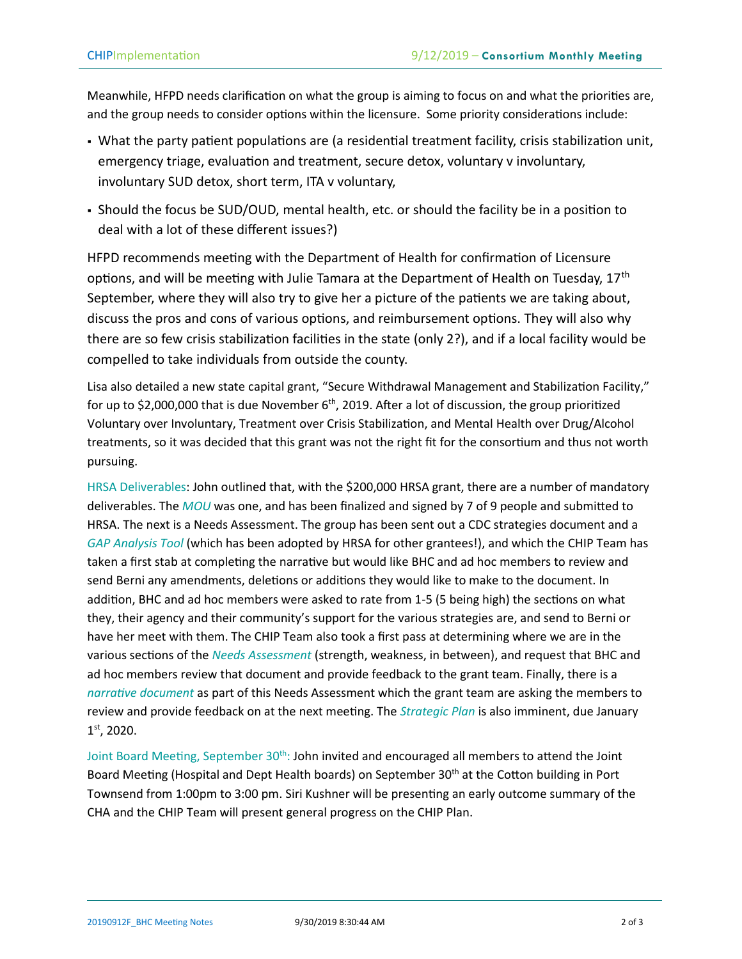Meanwhile, HFPD needs clarification on what the group is aiming to focus on and what the priorities are, and the group needs to consider options within the licensure. Some priority considerations include:

- What the party patient populations are (a residential treatment facility, crisis stabilization unit, emergency triage, evaluation and treatment, secure detox, voluntary v involuntary, involuntary SUD detox, short term, ITA v voluntary,
- Should the focus be SUD/OUD, mental health, etc. or should the facility be in a position to deal with a lot of these different issues?)

HFPD recommends meeting with the Department of Health for confirmation of Licensure options, and will be meeting with Julie Tamara at the Department of Health on Tuesday, 17<sup>th</sup> September, where they will also try to give her a picture of the patients we are taking about, discuss the pros and cons of various options, and reimbursement options. They will also why there are so few crisis stabilization facilities in the state (only 2?), and if a local facility would be compelled to take individuals from outside the county.

Lisa also detailed a new state capital grant, "Secure Withdrawal Management and Stabilization Facility," for up to \$2,000,000 that is due November  $6<sup>th</sup>$ , 2019. After a lot of discussion, the group prioritized Voluntary over Involuntary, Treatment over Crisis Stabilization, and Mental Health over Drug/Alcohol treatments, so it was decided that this grant was not the right fit for the consortium and thus not worth pursuing.

HRSA Deliverables: John outlined that, with the \$200,000 HRSA grant, there are a number of mandatory deliverables. The *MOU* was one, and has been finalized and signed by 7 of 9 people and submitted to HRSA. The next is a Needs Assessment. The group has been sent out a CDC strategies document and a *GAP Analysis Tool* (which has been adopted by HRSA for other grantees!), and which the CHIP Team has taken a first stab at completing the narrative but would like BHC and ad hoc members to review and send Berni any amendments, deletions or additions they would like to make to the document. In addition, BHC and ad hoc members were asked to rate from 1-5 (5 being high) the sections on what they, their agency and their community's support for the various strategies are, and send to Berni or have her meet with them. The CHIP Team also took a first pass at determining where we are in the various sections of the *Needs Assessment* (strength, weakness, in between), and request that BHC and ad hoc members review that document and provide feedback to the grant team. Finally, there is a *narrative document* as part of this Needs Assessment which the grant team are asking the members to review and provide feedback on at the next meeting. The *Strategic Plan* is also imminent, due January 1 st, 2020.

Joint Board Meeting, September 30<sup>th</sup>: John invited and encouraged all members to attend the Joint Board Meeting (Hospital and Dept Health boards) on September 30<sup>th</sup> at the Cotton building in Port Townsend from 1:00pm to 3:00 pm. Siri Kushner will be presenting an early outcome summary of the CHA and the CHIP Team will present general progress on the CHIP Plan.